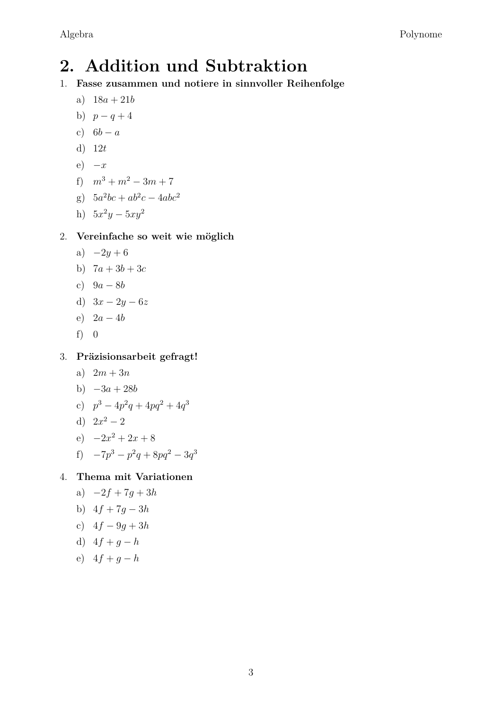# **2. Addition und Subtraktion**

- 1. **Fasse zusammen und notiere in sinnvoller Reihenfolge**
	- a) 18*a* + 21*b*
	- b)  $p q + 4$
	- c)  $6b a$
	- d) 12*t*
	- e)  $-x$
	- f)  $m^3 + m^2 3m + 7$
	- g)  $5a^2bc + ab^2c 4abc^2$
	- h)  $5x^2y 5xy^2$

#### 2. **Vereinfache so weit wie möglich**

- a)  $-2y+6$
- b)  $7a + 3b + 3c$
- c) 9*a* − 8*b*
- d) 3*x* − 2*y* − 6*z*
- e) 2*a* − 4*b*
- f) 0

3. **Präzisionsarbeit gefragt!**

- a)  $2m + 3n$
- b)  $-3a + 28b$
- c)  $p^3 4p^2q + 4pq^2 + 4q^3$
- d)  $2x^2 2$
- e)  $-2x^2 + 2x + 8$
- f)  $-7p^3 p^2q + 8pq^2 3q^3$

4. **Thema mit Variationen**

- a)  $-2f + 7g + 3h$
- b) 4*f* + 7*g* − 3*h*
- c) 4*f* − 9*g* + 3*h*
- d)  $4f + q h$
- e)  $4f + q h$